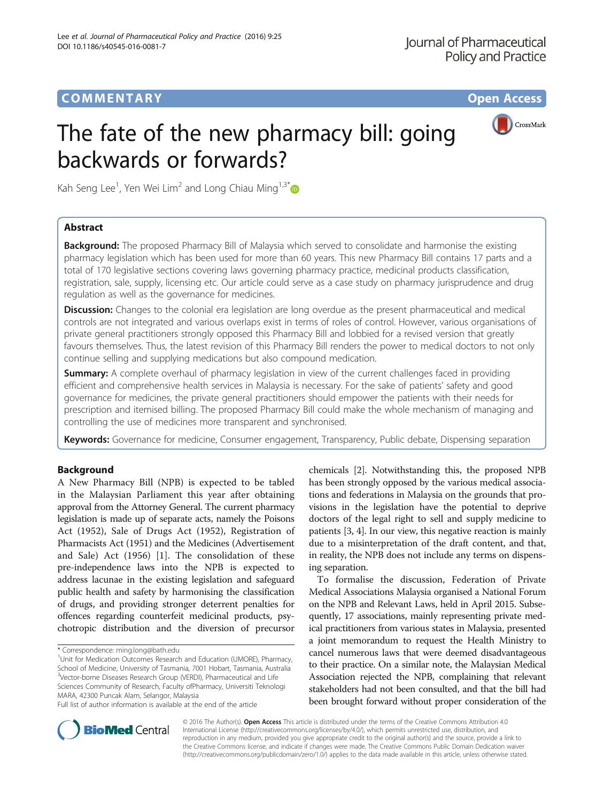# **COMMENTARY COMMENTARY Open Access**



# The fate of the new pharmacy bill: going backwards or forwards?

Kah Seng Lee<sup>1</sup>, Yen Wei Lim<sup>2</sup> and Long Chiau Ming<sup>1,3[\\*](http://orcid.org/0000-0002-6971-1383)</sup>

# Abstract

**Background:** The proposed Pharmacy Bill of Malaysia which served to consolidate and harmonise the existing pharmacy legislation which has been used for more than 60 years. This new Pharmacy Bill contains 17 parts and a total of 170 legislative sections covering laws governing pharmacy practice, medicinal products classification, registration, sale, supply, licensing etc. Our article could serve as a case study on pharmacy jurisprudence and drug regulation as well as the governance for medicines.

**Discussion:** Changes to the colonial era legislation are long overdue as the present pharmaceutical and medical controls are not integrated and various overlaps exist in terms of roles of control. However, various organisations of private general practitioners strongly opposed this Pharmacy Bill and lobbied for a revised version that greatly favours themselves. Thus, the latest revision of this Pharmacy Bill renders the power to medical doctors to not only continue selling and supplying medications but also compound medication.

**Summary:** A complete overhaul of pharmacy legislation in view of the current challenges faced in providing efficient and comprehensive health services in Malaysia is necessary. For the sake of patients' safety and good governance for medicines, the private general practitioners should empower the patients with their needs for prescription and itemised billing. The proposed Pharmacy Bill could make the whole mechanism of managing and controlling the use of medicines more transparent and synchronised.

Keywords: Governance for medicine, Consumer engagement, Transparency, Public debate, Dispensing separation

# Background

A New Pharmacy Bill (NPB) is expected to be tabled in the Malaysian Parliament this year after obtaining approval from the Attorney General. The current pharmacy legislation is made up of separate acts, namely the Poisons Act (1952), Sale of Drugs Act (1952), Registration of Pharmacists Act (1951) and the Medicines (Advertisement and Sale) Act (1956) [\[1](#page-2-0)]. The consolidation of these pre-independence laws into the NPB is expected to address lacunae in the existing legislation and safeguard public health and safety by harmonising the classification of drugs, and providing stronger deterrent penalties for offences regarding counterfeit medicinal products, psychotropic distribution and the diversion of precursor

<sup>1</sup>Unit for Medication Outcomes Research and Education (UMORE), Pharmacy, School of Medicine, University of Tasmania, 7001 Hobart, Tasmania, Australia <sup>3</sup>Vector-borne Diseases Research Group (VERDI), Pharmaceutical and Life Sciences Community of Research, Faculty ofPharmacy, Universiti Teknologi MARA, 42300 Puncak Alam, Selangor, Malaysia Full list of author information is available at the end of the article

To formalise the discussion, Federation of Private Medical Associations Malaysia organised a National Forum on the NPB and Relevant Laws, held in April 2015. Subsequently, 17 associations, mainly representing private medical practitioners from various states in Malaysia, presented a joint memorandum to request the Health Ministry to cancel numerous laws that were deemed disadvantageous to their practice. On a similar note, the Malaysian Medical Association rejected the NPB, complaining that relevant stakeholders had not been consulted, and that the bill had been brought forward without proper consideration of the



© 2016 The Author(s). Open Access This article is distributed under the terms of the Creative Commons Attribution 4.0 International License [\(http://creativecommons.org/licenses/by/4.0/](http://creativecommons.org/licenses/by/4.0/)), which permits unrestricted use, distribution, and reproduction in any medium, provided you give appropriate credit to the original author(s) and the source, provide a link to the Creative Commons license, and indicate if changes were made. The Creative Commons Public Domain Dedication waiver [\(http://creativecommons.org/publicdomain/zero/1.0/](http://creativecommons.org/publicdomain/zero/1.0/)) applies to the data made available in this article, unless otherwise stated.

<sup>\*</sup> Correspondence: [ming.long@bath.edu](mailto:ming.long@bath.edu) <sup>1</sup>

chemicals [[2\]](#page-2-0). Notwithstanding this, the proposed NPB has been strongly opposed by the various medical associations and federations in Malaysia on the grounds that provisions in the legislation have the potential to deprive doctors of the legal right to sell and supply medicine to patients [\[3, 4](#page-2-0)]. In our view, this negative reaction is mainly due to a misinterpretation of the draft content, and that, in reality, the NPB does not include any terms on dispensing separation.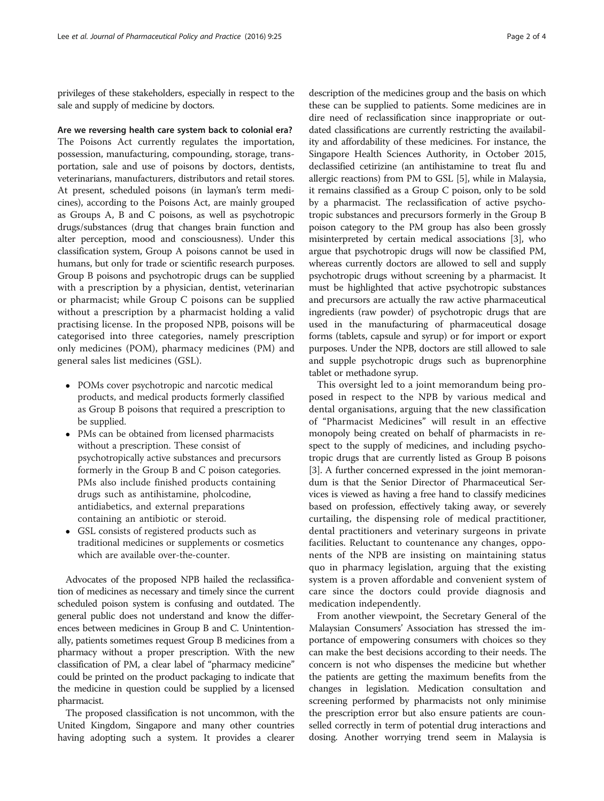sale and supply of medicine by doctors.

privileges of these stakeholders, especially in respect to the

Are we reversing health care system back to colonial era? The Poisons Act currently regulates the importation, possession, manufacturing, compounding, storage, transportation, sale and use of poisons by doctors, dentists, veterinarians, manufacturers, distributors and retail stores. At present, scheduled poisons (in layman's term medicines), according to the Poisons Act, are mainly grouped as Groups A, B and C poisons, as well as psychotropic drugs/substances (drug that changes brain function and alter perception, mood and consciousness). Under this classification system, Group A poisons cannot be used in humans, but only for trade or scientific research purposes. Group B poisons and psychotropic drugs can be supplied with a prescription by a physician, dentist, veterinarian or pharmacist; while Group C poisons can be supplied without a prescription by a pharmacist holding a valid practising license. In the proposed NPB, poisons will be categorised into three categories, namely prescription only medicines (POM), pharmacy medicines (PM) and general sales list medicines (GSL).

- POMs cover psychotropic and narcotic medical products, and medical products formerly classified as Group B poisons that required a prescription to be supplied.
- PMs can be obtained from licensed pharmacists without a prescription. These consist of psychotropically active substances and precursors formerly in the Group B and C poison categories. PMs also include finished products containing drugs such as antihistamine, pholcodine, antidiabetics, and external preparations containing an antibiotic or steroid.
- GSL consists of registered products such as traditional medicines or supplements or cosmetics which are available over-the-counter.

Advocates of the proposed NPB hailed the reclassification of medicines as necessary and timely since the current scheduled poison system is confusing and outdated. The general public does not understand and know the differences between medicines in Group B and C. Unintentionally, patients sometimes request Group B medicines from a pharmacy without a proper prescription. With the new classification of PM, a clear label of "pharmacy medicine" could be printed on the product packaging to indicate that the medicine in question could be supplied by a licensed pharmacist.

The proposed classification is not uncommon, with the United Kingdom, Singapore and many other countries having adopting such a system. It provides a clearer

description of the medicines group and the basis on which these can be supplied to patients. Some medicines are in dire need of reclassification since inappropriate or outdated classifications are currently restricting the availability and affordability of these medicines. For instance, the Singapore Health Sciences Authority, in October 2015, declassified cetirizine (an antihistamine to treat flu and allergic reactions) from PM to GSL [\[5](#page-3-0)], while in Malaysia, it remains classified as a Group C poison, only to be sold by a pharmacist. The reclassification of active psychotropic substances and precursors formerly in the Group B poison category to the PM group has also been grossly misinterpreted by certain medical associations [[3](#page-2-0)], who argue that psychotropic drugs will now be classified PM, whereas currently doctors are allowed to sell and supply psychotropic drugs without screening by a pharmacist. It must be highlighted that active psychotropic substances and precursors are actually the raw active pharmaceutical ingredients (raw powder) of psychotropic drugs that are used in the manufacturing of pharmaceutical dosage forms (tablets, capsule and syrup) or for import or export purposes. Under the NPB, doctors are still allowed to sale and supple psychotropic drugs such as buprenorphine tablet or methadone syrup.

This oversight led to a joint memorandum being proposed in respect to the NPB by various medical and dental organisations, arguing that the new classification of "Pharmacist Medicines" will result in an effective monopoly being created on behalf of pharmacists in respect to the supply of medicines, and including psychotropic drugs that are currently listed as Group B poisons [[3\]](#page-2-0). A further concerned expressed in the joint memorandum is that the Senior Director of Pharmaceutical Services is viewed as having a free hand to classify medicines based on profession, effectively taking away, or severely curtailing, the dispensing role of medical practitioner, dental practitioners and veterinary surgeons in private facilities. Reluctant to countenance any changes, opponents of the NPB are insisting on maintaining status quo in pharmacy legislation, arguing that the existing system is a proven affordable and convenient system of care since the doctors could provide diagnosis and medication independently.

From another viewpoint, the Secretary General of the Malaysian Consumers' Association has stressed the importance of empowering consumers with choices so they can make the best decisions according to their needs. The concern is not who dispenses the medicine but whether the patients are getting the maximum benefits from the changes in legislation. Medication consultation and screening performed by pharmacists not only minimise the prescription error but also ensure patients are counselled correctly in term of potential drug interactions and dosing. Another worrying trend seem in Malaysia is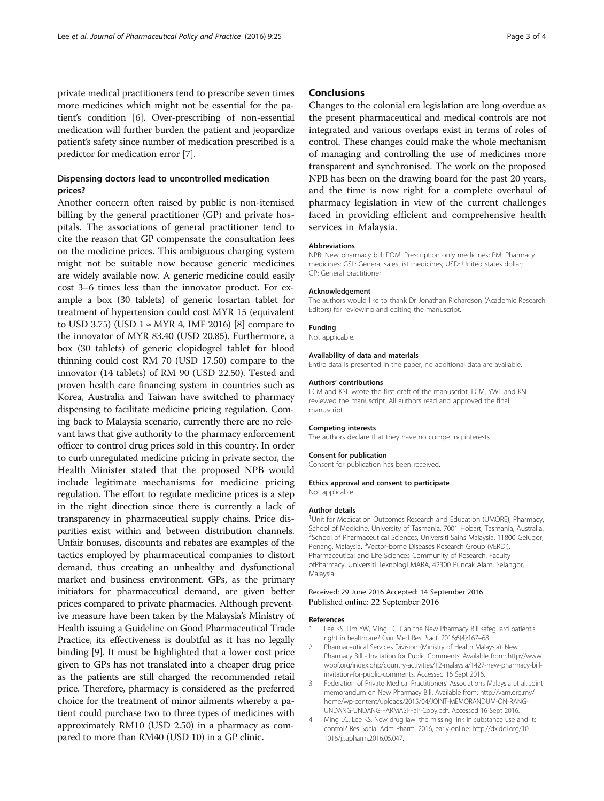<span id="page-2-0"></span>private medical practitioners tend to prescribe seven times more medicines which might not be essential for the patient's condition [[6](#page-3-0)]. Over-prescribing of non-essential medication will further burden the patient and jeopardize patient's safety since number of medication prescribed is a predictor for medication error [\[7\]](#page-3-0).

# Dispensing doctors lead to uncontrolled medication prices?

Another concern often raised by public is non-itemised billing by the general practitioner (GP) and private hospitals. The associations of general practitioner tend to cite the reason that GP compensate the consultation fees on the medicine prices. This ambiguous charging system might not be suitable now because generic medicines are widely available now. A generic medicine could easily cost 3–6 times less than the innovator product. For example a box (30 tablets) of generic losartan tablet for treatment of hypertension could cost MYR 15 (equivalent to USD 3.75) (USD  $1 \approx MYR$  4, IMF 2016) [[8\]](#page-3-0) compare to the innovator of MYR 83.40 (USD 20.85). Furthermore, a box (30 tablets) of generic clopidogrel tablet for blood thinning could cost RM 70 (USD 17.50) compare to the innovator (14 tablets) of RM 90 (USD 22.50). Tested and proven health care financing system in countries such as Korea, Australia and Taiwan have switched to pharmacy dispensing to facilitate medicine pricing regulation. Coming back to Malaysia scenario, currently there are no relevant laws that give authority to the pharmacy enforcement officer to control drug prices sold in this country. In order to curb unregulated medicine pricing in private sector, the Health Minister stated that the proposed NPB would include legitimate mechanisms for medicine pricing regulation. The effort to regulate medicine prices is a step in the right direction since there is currently a lack of transparency in pharmaceutical supply chains. Price disparities exist within and between distribution channels. Unfair bonuses, discounts and rebates are examples of the tactics employed by pharmaceutical companies to distort demand, thus creating an unhealthy and dysfunctional market and business environment. GPs, as the primary initiators for pharmaceutical demand, are given better prices compared to private pharmacies. Although preventive measure have been taken by the Malaysia's Ministry of Health issuing a Guideline on Good Pharmaceutical Trade Practice, its effectiveness is doubtful as it has no legally binding [\[9](#page-3-0)]. It must be highlighted that a lower cost price given to GPs has not translated into a cheaper drug price as the patients are still charged the recommended retail price. Therefore, pharmacy is considered as the preferred choice for the treatment of minor ailments whereby a patient could purchase two to three types of medicines with approximately RM10 (USD 2.50) in a pharmacy as compared to more than RM40 (USD 10) in a GP clinic.

# **Conclusions**

Changes to the colonial era legislation are long overdue as the present pharmaceutical and medical controls are not integrated and various overlaps exist in terms of roles of control. These changes could make the whole mechanism of managing and controlling the use of medicines more transparent and synchronised. The work on the proposed NPB has been on the drawing board for the past 20 years, and the time is now right for a complete overhaul of pharmacy legislation in view of the current challenges faced in providing efficient and comprehensive health services in Malaysia.

## Abbreviations

NPB: New pharmacy bill; POM: Prescription only medicines; PM: Pharmacy medicines; GSL: General sales list medicines; USD: United states dollar; GP: General practitioner

# Acknowledgement

The authors would like to thank Dr Jonathan Richardson (Academic Research Editors) for reviewing and editing the manuscript.

## Funding

Not applicable.

#### Availability of data and materials

Entire data is presented in the paper, no additional data are available.

#### Authors' contributions

LCM and KSL wrote the first draft of the manuscript. LCM, YWL and KSL reviewed the manuscript. All authors read and approved the final manuscript.

#### Competing interests

The authors declare that they have no competing interests.

#### Consent for publication

Consent for publication has been received.

# Ethics approval and consent to participate

Not applicable.

## Author details

<sup>1</sup>Unit for Medication Outcomes Research and Education (UMORE), Pharmacy, School of Medicine, University of Tasmania, 7001 Hobart, Tasmania, Australia. <sup>2</sup>School of Pharmaceutical Sciences, Universiti Sains Malaysia, 11800 Gelugor Penang, Malaysia. <sup>3</sup>Vector-borne Diseases Research Group (VERDI) Pharmaceutical and Life Sciences Community of Research, Faculty ofPharmacy, Universiti Teknologi MARA, 42300 Puncak Alam, Selangor, Malaysia.

# Received: 29 June 2016 Accepted: 14 September 2016 Published online: 22 September 2016

## References

- 1. Lee KS, Lim YW, Ming LC. Can the New Pharmacy Bill safeguard patient's right in healthcare? Curr Med Res Pract. 2016;6(4):167–68.
- 2. Pharmaceutical Services Division (Ministry of Health Malaysia). New Pharmacy Bill - Invitation for Public Comments. Available from: [http://www.](http://www.wppf.org/index.php/country-activities/12-malaysia/1427-new-pharmacy-bill-invitation-for-public-comments) [wppf.org/index.php/country-activities/12-malaysia/1427-new-pharmacy-bill](http://www.wppf.org/index.php/country-activities/12-malaysia/1427-new-pharmacy-bill-invitation-for-public-comments)[invitation-for-public-comments](http://www.wppf.org/index.php/country-activities/12-malaysia/1427-new-pharmacy-bill-invitation-for-public-comments). Accessed 16 Sept 2016.
- 3. Federation of Private Medical Practitioners' Associations Malaysia et al. Joint memorandum on New Pharmacy Bill. Available from: [http://vam.org.my/](http://vam.org.my/home/wp-content/uploads/2015/04/JOINT-MEMORANDUM-ON-RANG-UNDANG-UNDANG-FARMASI-Fair-Copy.pdf) [home/wp-content/uploads/2015/04/JOINT-MEMORANDUM-ON-RANG-](http://vam.org.my/home/wp-content/uploads/2015/04/JOINT-MEMORANDUM-ON-RANG-UNDANG-UNDANG-FARMASI-Fair-Copy.pdf)[UNDANG-UNDANG-FARMASI-Fair-Copy.pdf](http://vam.org.my/home/wp-content/uploads/2015/04/JOINT-MEMORANDUM-ON-RANG-UNDANG-UNDANG-FARMASI-Fair-Copy.pdf). Accessed 16 Sept 2016.
- 4. Ming LC, Lee KS. New drug law: the missing link in substance use and its control? Res Social Adm Pharm. 2016, early online: [http://dx.doi.org/10.](http://dx.doi.org/10.1016/j.sapharm.2016.05.047) [1016/j.sapharm.2016.05.047](http://dx.doi.org/10.1016/j.sapharm.2016.05.047).